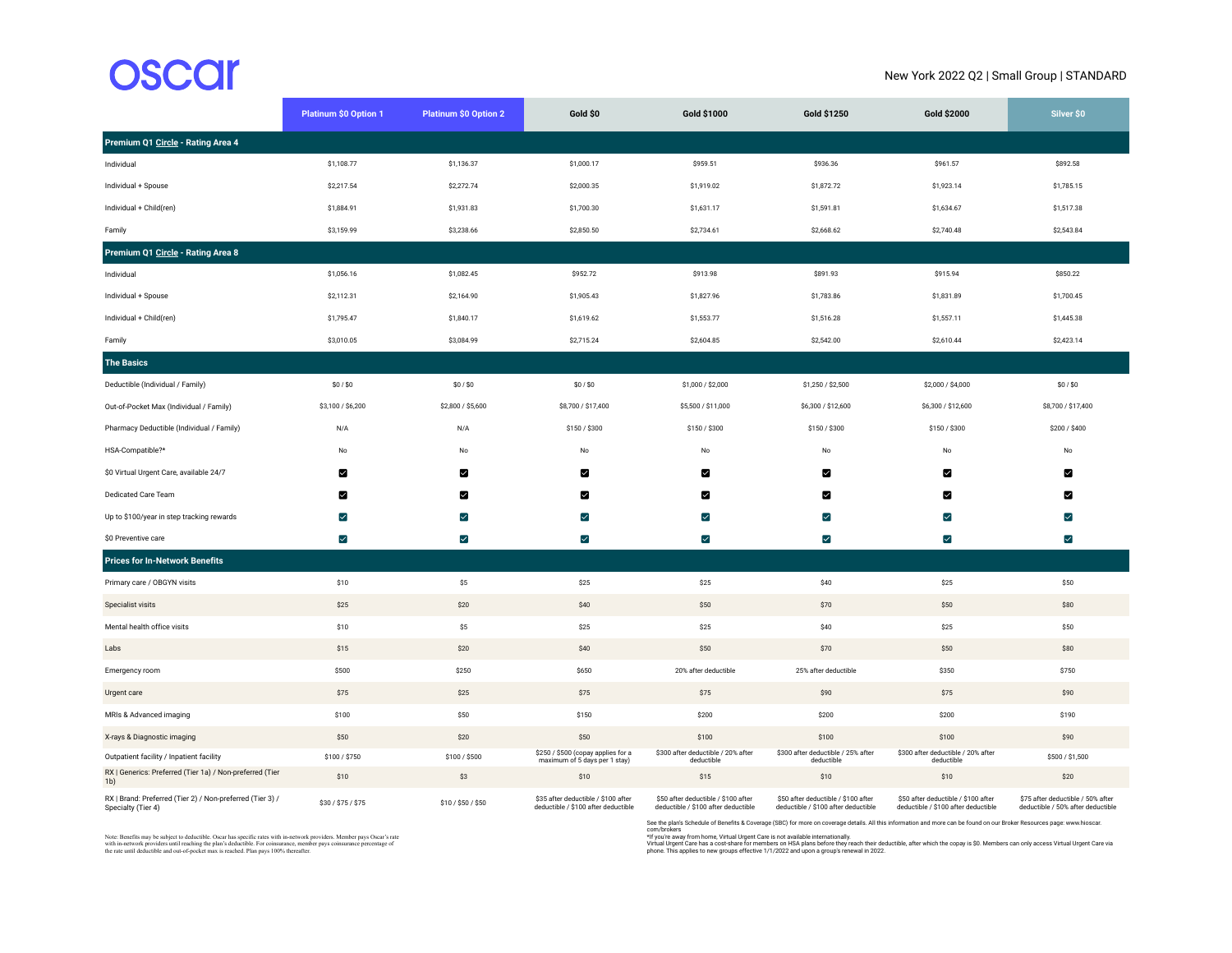## **OSCCI**

## New York 2022 Q2 | Small Group | STANDARD

|                                                                                 | <b>Platinum \$0 Option 1</b> | <b>Platinum \$0 Option 2</b> | Gold \$0                                                                   | Gold \$1000                                                                | Gold \$1250                                                                | Gold \$2000                                                                | Silver \$0                                                             |
|---------------------------------------------------------------------------------|------------------------------|------------------------------|----------------------------------------------------------------------------|----------------------------------------------------------------------------|----------------------------------------------------------------------------|----------------------------------------------------------------------------|------------------------------------------------------------------------|
| Premium Q1 Circle - Rating Area 4                                               |                              |                              |                                                                            |                                                                            |                                                                            |                                                                            |                                                                        |
| Individual                                                                      | \$1,108.77                   | \$1,136.37                   | \$1,000.17                                                                 | \$959.51                                                                   | \$936.36                                                                   | \$961.57                                                                   | \$892.58                                                               |
| Individual + Spouse                                                             | \$2,217.54                   | \$2,272.74                   | \$2,000.35                                                                 | \$1,919.02                                                                 | \$1,872.72                                                                 | \$1,923.14                                                                 | \$1,785.15                                                             |
| Individual + Child(ren)                                                         | \$1,884.91                   | \$1,931.83                   | \$1,700.30                                                                 | \$1,631.17                                                                 | \$1,591.81                                                                 | \$1,634.67                                                                 | \$1,517.38                                                             |
| Family                                                                          | \$3,159.99                   | \$3,238.66                   | \$2,850.50                                                                 | \$2,734.61                                                                 | \$2,668.62                                                                 | \$2,740.48                                                                 | \$2,543.84                                                             |
| Premium Q1 Circle - Rating Area 8                                               |                              |                              |                                                                            |                                                                            |                                                                            |                                                                            |                                                                        |
| Individual                                                                      | \$1,056.16                   | \$1,082.45                   | \$952.72                                                                   | \$913.98                                                                   | \$891.93                                                                   | \$915.94                                                                   | \$850.22                                                               |
| Individual + Spouse                                                             | \$2,112.31                   | \$2,164.90                   | \$1,905.43                                                                 | \$1,827.96                                                                 | \$1,783.86                                                                 | \$1,831.89                                                                 | \$1,700.45                                                             |
| Individual + Child(ren)                                                         | \$1,795.47                   | \$1,840.17                   | \$1,619.62                                                                 | \$1,553.77                                                                 | \$1,516.28                                                                 | \$1,557.11                                                                 | \$1,445.38                                                             |
| Family                                                                          | \$3,010.05                   | \$3,084.99                   | \$2,715.24                                                                 | \$2,604.85                                                                 | \$2,542.00                                                                 | \$2,610.44                                                                 | \$2,423.14                                                             |
| <b>The Basics</b>                                                               |                              |                              |                                                                            |                                                                            |                                                                            |                                                                            |                                                                        |
| Deductible (Individual / Family)                                                | \$0/\$0                      | \$0/\$0                      | \$0/\$0                                                                    | \$1,000 / \$2,000                                                          | \$1,250 / \$2,500                                                          | \$2,000 / \$4,000                                                          | \$0/\$0                                                                |
| Out-of-Pocket Max (Individual / Family)                                         | \$3,100 / \$6,200            | \$2,800 / \$5,600            | \$8,700 / \$17,400                                                         | \$5,500 / \$11,000                                                         | \$6,300 / \$12,600                                                         | \$6,300 / \$12,600                                                         | \$8,700 / \$17,400                                                     |
| Pharmacy Deductible (Individual / Family)                                       | N/A                          | N/A                          | \$150 / \$300                                                              | \$150 / \$300                                                              | \$150 / \$300                                                              | \$150 / \$300                                                              | \$200 / \$400                                                          |
| HSA-Compatible?*                                                                | No                           | No                           | No                                                                         | No                                                                         | No                                                                         | No                                                                         | No                                                                     |
| \$0 Virtual Urgent Care, available 24/7                                         | ☑                            | ◘                            | ◙                                                                          | ⊠                                                                          | ⊠                                                                          | ☑                                                                          | ◘                                                                      |
| Dedicated Care Team                                                             | М                            | М                            | И                                                                          | ☑                                                                          | М                                                                          | М                                                                          | ⊠                                                                      |
| Up to \$100/year in step tracking rewards                                       | $\checkmark$                 | $\blacktriangledown$         | $\blacktriangledown$                                                       | $\blacktriangledown$                                                       | $\blacktriangledown$                                                       | $\blacktriangledown$                                                       | $\blacktriangleright$                                                  |
| \$0 Preventive care                                                             | $\blacktriangledown$         | $\blacktriangledown$         | $\overline{\mathsf{v}}$                                                    | M                                                                          | $\blacktriangledown$                                                       | $\blacktriangledown$                                                       | $\blacktriangledown$                                                   |
| <b>Prices for In-Network Benefits</b>                                           |                              |                              |                                                                            |                                                                            |                                                                            |                                                                            |                                                                        |
| Primary care / OBGYN visits                                                     | \$10                         | \$5                          | \$25                                                                       | \$25                                                                       | \$40                                                                       | \$25                                                                       | \$50                                                                   |
| Specialist visits                                                               | \$25                         | \$20                         | \$40                                                                       | \$50                                                                       | \$70                                                                       | \$50                                                                       | \$80                                                                   |
| Mental health office visits                                                     | \$10                         | \$5                          | \$25                                                                       | \$25                                                                       | \$40                                                                       | \$25                                                                       | \$50                                                                   |
| Labs                                                                            | \$15                         | \$20                         | \$40                                                                       | \$50                                                                       | \$70                                                                       | \$50                                                                       | \$80                                                                   |
| Emergency room                                                                  | \$500                        | \$250                        | \$650                                                                      | 20% after deductible                                                       | 25% after deductible                                                       | \$350                                                                      | \$750                                                                  |
| Urgent care                                                                     | \$75                         | \$25                         | \$75                                                                       | \$75                                                                       | \$90                                                                       | \$75                                                                       | \$90                                                                   |
| MRIs & Advanced imaging                                                         | \$100                        | \$50                         | \$150                                                                      | \$200                                                                      | \$200                                                                      | \$200                                                                      | \$190                                                                  |
| X-rays & Diagnostic imaging                                                     | \$50                         | \$20                         | \$50                                                                       | \$100                                                                      | \$100                                                                      | \$100                                                                      | \$90                                                                   |
| Outpatient facility / Inpatient facility                                        | \$100 / \$750                | \$100 / \$500                | \$250 / \$500 (copay applies for a<br>maximum of 5 days per 1 stay)        | \$300 after deductible / 20% after<br>deductible                           | \$300 after deductible / 25% after<br>deductible                           | \$300 after deductible / 20% after<br>deductible                           | \$500 / \$1,500                                                        |
| RX   Generics: Preferred (Tier 1a) / Non-preferred (Tier<br>1 <sub>b</sub>      | \$10                         | \$3                          | \$10                                                                       | \$15                                                                       | \$10                                                                       | \$10                                                                       | \$20                                                                   |
| RX   Brand: Preferred (Tier 2) / Non-preferred (Tier 3) /<br>Specialty (Tier 4) | \$30 / \$75 / \$75           | \$10 / \$50 / \$50           | \$35 after deductible / \$100 after<br>deductible / \$100 after deductible | \$50 after deductible / \$100 after<br>deductible / \$100 after deductible | \$50 after deductible / \$100 after<br>deductible / \$100 after deductible | \$50 after deductible / \$100 after<br>deductible / \$100 after deductible | \$75 after deductible / 50% after<br>deductible / 50% after deductible |

Note: Benefits may be subject to deductible. Oscar has specific rates with in-network providers. Member pays Oscar's rate<br>with in-network providers until reaching the plan's deductible. For coinsurance, member pays coinsur

See the plan's Schedule of Benefits & Coverage (SBC) for more on coverage details. All this information and more can be found on our Broker Resources page: www.hioscar.<br>com/brokes<br>Virtual Urgent Care has a cost-share for m